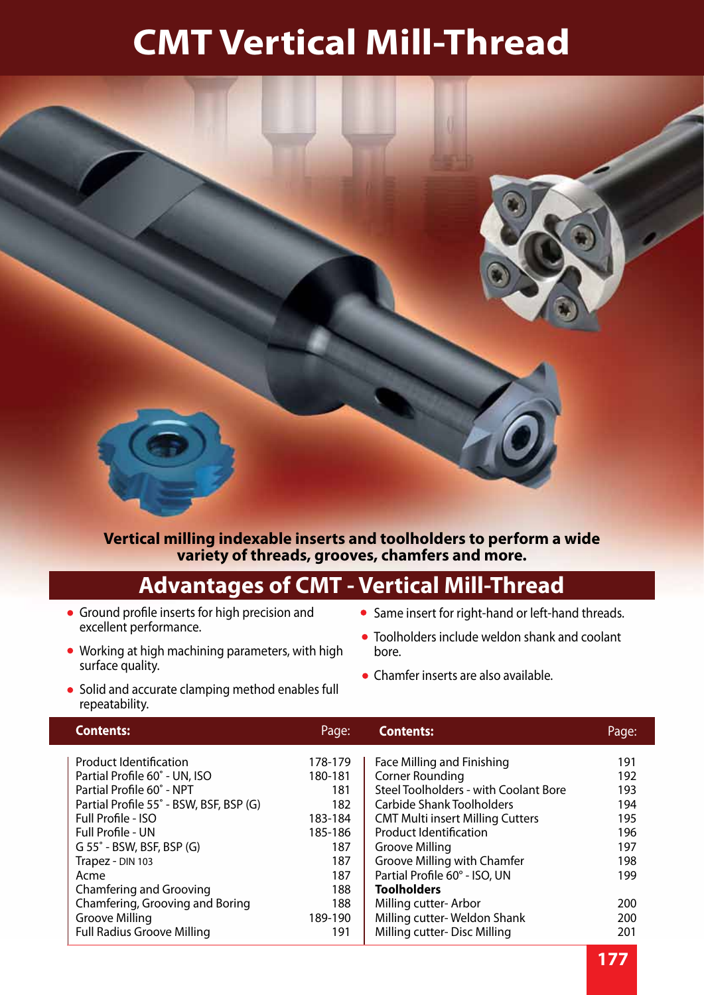

#### **Vertical milling indexable inserts and toolholders to perform a wide variety of threads, grooves, chamfers and more.**

#### **Advantages of CMT - Vertical Mill-Thread**

- Ground profile inserts for high precision and excellent performance.
- Working at high machining parameters, with high surface quality.
- Solid and accurate clamping method enables full repeatability.
- Same insert for right-hand or left-hand threads.
- Toolholders include weldon shank and coolant bore.
- Chamfer inserts are also available.

| <b>Contents:</b>                        | Page:   | <b>Contents:</b>                        | Page: |
|-----------------------------------------|---------|-----------------------------------------|-------|
| <b>Product Identification</b>           | 178-179 | Face Milling and Finishing              | 191   |
| Partial Profile 60° - UN, ISO           | 180-181 | <b>Corner Rounding</b>                  | 192   |
| Partial Profile 60° - NPT               | 181     | Steel Toolholders - with Coolant Bore   | 193   |
| Partial Profile 55° - BSW, BSF, BSP (G) | 182     | Carbide Shank Toolholders               | 194   |
| Full Profile - ISO                      | 183-184 | <b>CMT Multi insert Milling Cutters</b> | 195   |
| <b>Full Profile - UN</b>                | 185-186 | <b>Product Identification</b>           | 196   |
| $G$ 55 $^{\circ}$ - BSW, BSF, BSP (G)   | 187     | Groove Milling                          | 197   |
| Trapez - DIN 103                        | 187     | Groove Milling with Chamfer             | 198   |
| Acme                                    | 187     | Partial Profile 60° - ISO, UN           | 199   |
| Chamfering and Grooving                 | 188     | <b>Toolholders</b>                      |       |
| Chamfering, Grooving and Boring         | 188     | Milling cutter-Arbor                    | 200   |
| Groove Milling                          | 189-190 | Milling cutter-Weldon Shank             | 200   |
| <b>Full Radius Groove Milling</b>       | 191     | Milling cutter-Disc Milling             | 201   |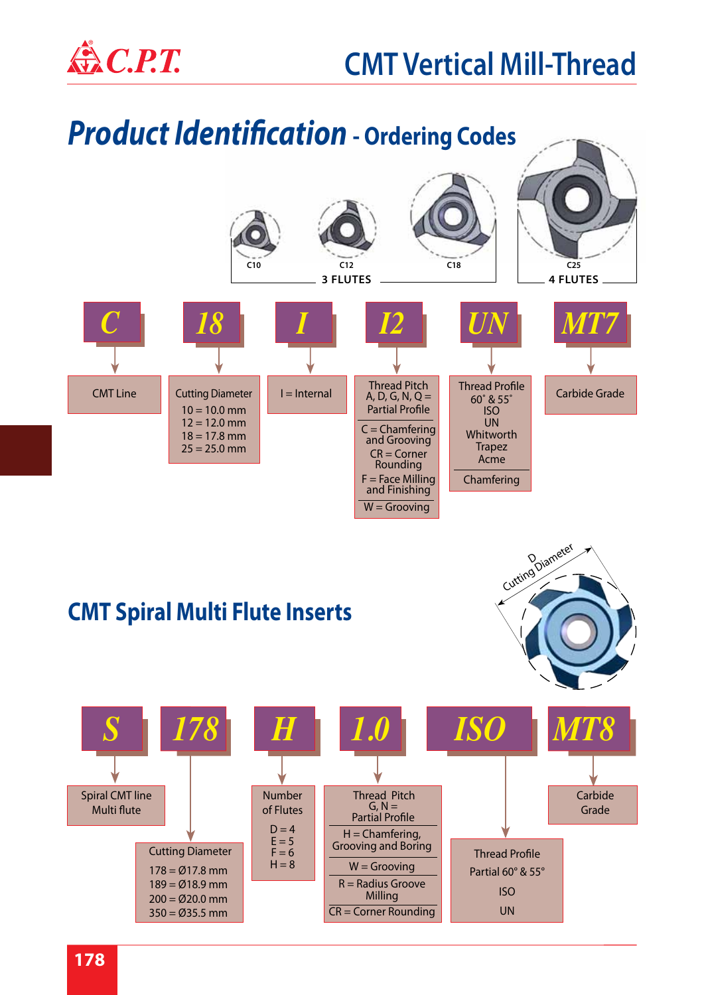



#### **CMT Spiral Multi Flute Inserts**



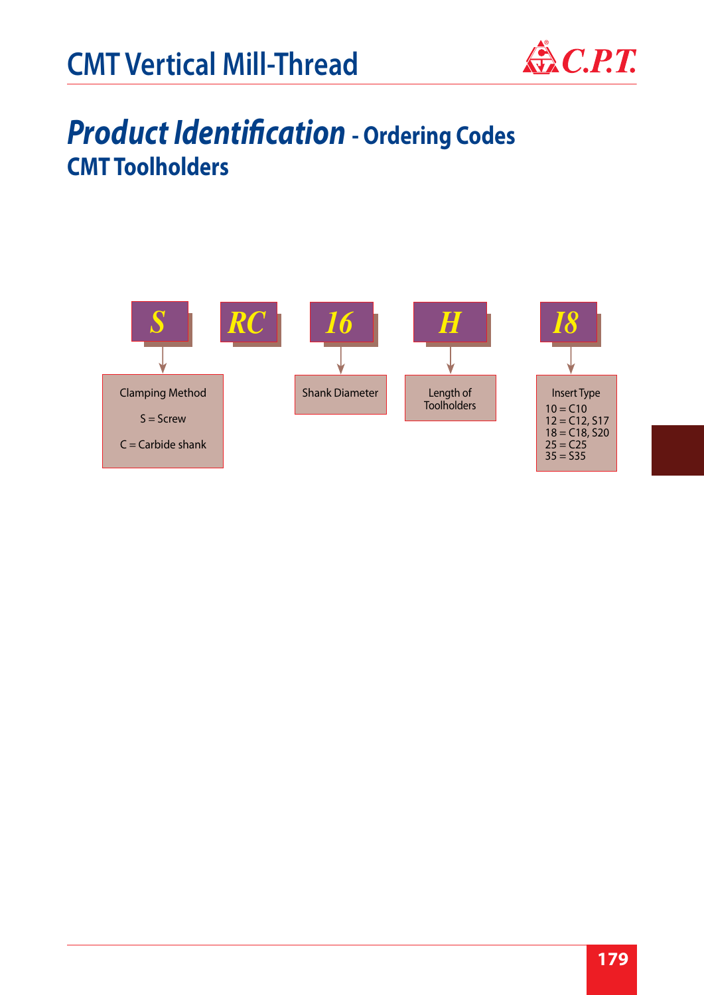

#### *Product Identification* **- Ordering Codes CMT Toolholders**

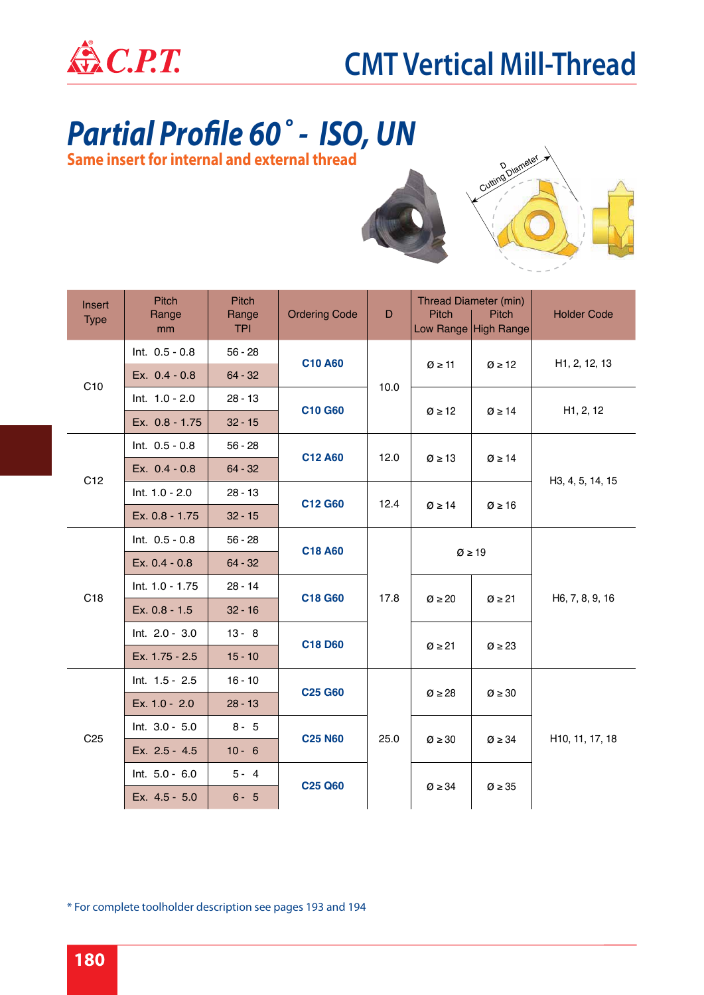

### *Partial Profile 60˚ - ISO, UN*

**Same insert for internal and external thread**



| Insert<br><b>Type</b> | <b>Pitch</b><br>Range<br>mm | Pitch<br>Range<br><b>TPI</b> | <b>Ordering Code</b> | D                     | Pitch                   | Thread Diameter (min)<br><b>Pitch</b><br>Low Range High Range | <b>Holder Code</b>           |  |
|-----------------------|-----------------------------|------------------------------|----------------------|-----------------------|-------------------------|---------------------------------------------------------------|------------------------------|--|
|                       | Int. $0.5 - 0.8$            | $56 - 28$                    | <b>C10 A60</b>       |                       |                         |                                                               |                              |  |
| C10                   | Ex. 0.4 - 0.8               | $64 - 32$                    |                      | 10.0                  | $\varnothing \geq 11$   | $\varnothing \geq 12$                                         | H <sub>1</sub> , 2, 12, 13   |  |
|                       | Int. 1.0 - 2.0              | $28 - 13$                    | <b>C10 G60</b>       |                       | $\varnothing \geq 12$   | $\varnothing \geq 14$                                         | H1, 2, 12                    |  |
|                       | Ex. 0.8 - 1.75              | $32 - 15$                    |                      |                       |                         |                                                               |                              |  |
|                       | Int. $0.5 - 0.8$            | $56 - 28$                    | C12 A60              | 12.0                  |                         | $\varnothing \geq 14$                                         |                              |  |
| C <sub>12</sub>       | Ex. 0.4 - 0.8               | $64 - 32$                    |                      | $\varnothing \geq 13$ |                         |                                                               | H3, 4, 5, 14, 15             |  |
|                       | Int. 1.0 - 2.0              | $28 - 13$                    | C12 G60              | 12.4                  |                         | $\varnothing \geq 16$                                         |                              |  |
|                       | Ex. 0.8 - 1.75              | $32 - 15$                    |                      |                       | $\varnothing \geq 14$   |                                                               |                              |  |
|                       | Int. $0.5 - 0.8$            | $56 - 28$                    | C18 A60              |                       |                         |                                                               |                              |  |
|                       | Ex. 0.4 - 0.8               | $64 - 32$                    |                      |                       |                         | $\varnothing \geq 19$                                         |                              |  |
| C <sub>18</sub>       | Int. 1.0 - 1.75             | $28 - 14$                    | C18 G60              | 17.8                  |                         |                                                               |                              |  |
|                       | Ex. 0.8 - 1.5               | $32 - 16$                    |                      |                       | $\varnothing \geq 20$   | $\varnothing$ ≥ 21                                            | H <sub>6</sub> , 7, 8, 9, 16 |  |
|                       | Int. 2.0 - 3.0              | $13 - 8$                     | C18 D60              |                       | $\varnothing \geq 21$   | $\varnothing \geq 23$                                         |                              |  |
|                       | Ex. 1.75 - 2.5              | $15 - 10$                    |                      |                       |                         |                                                               |                              |  |
|                       | Int. 1.5 - 2.5              | $16 - 10$                    | <b>C25 G60</b>       |                       |                         |                                                               |                              |  |
|                       | Ex. 1.0 - 2.0               | $28 - 13$                    |                      |                       | $\varnothing$ $\geq$ 28 | $\varnothing \geq 30$                                         |                              |  |
| C <sub>25</sub>       | Int. 3.0 - 5.0              | $8 - 5$                      | <b>C25 N60</b>       | 25.0                  |                         |                                                               |                              |  |
|                       | Ex. 2.5 - 4.5               | $10 - 6$                     |                      |                       | $\varnothing \geq 30$   | $\varnothing \geq 34$                                         | H10, 11, 17, 18              |  |
|                       | Int. 5.0 - 6.0              | $5 - 4$                      | <b>C25 Q60</b>       |                       | $\varnothing \geq 34$   |                                                               |                              |  |
|                       | Ex. 4.5 - 5.0               | $6 - 5$                      |                      |                       |                         | $\varnothing \geq 35$                                         |                              |  |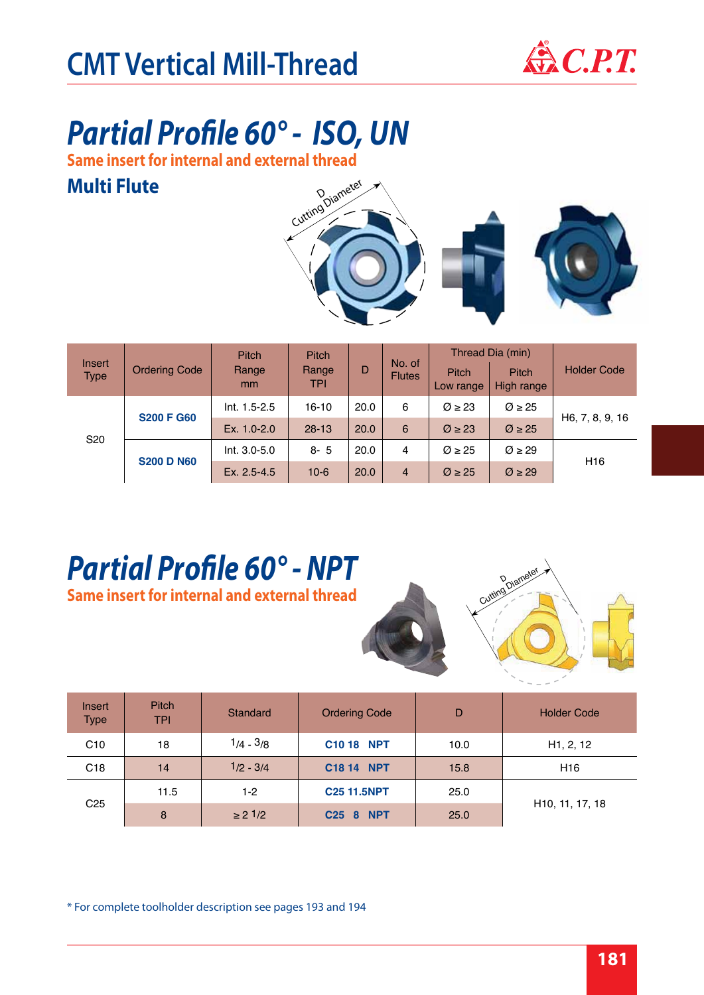

### *Partial Profile 60° - ISO, UN*

**Same insert for internal and external thread**

#### **Multi Flute**



| Insert<br><b>Type</b>                                     | <b>Ordering Code</b> | <b>Pitch</b><br>Range<br>mm | <b>Pitch</b><br>Range<br>TPI | D    | No. of<br><b>Flutes</b> | <b>Pitch</b><br>Low range | Thread Dia (min)<br><b>Pitch</b><br>High range | <b>Holder Code</b> |  |
|-----------------------------------------------------------|----------------------|-----------------------------|------------------------------|------|-------------------------|---------------------------|------------------------------------------------|--------------------|--|
| <b>S200 F G60</b><br>S <sub>20</sub><br><b>S200 D N60</b> |                      | $Int. 1.5 - 2.5$            | $16-10$                      | 20.0 | 6                       | $\varnothing \geq 23$     | $\varnothing \geq 25$                          |                    |  |
|                                                           |                      | Ex. 1.0-2.0                 | $28 - 13$                    | 20.0 | 6                       | $\varnothing \geq 23$     | $\varnothing \geq 25$                          | H6, 7, 8, 9, 16    |  |
|                                                           |                      | Int. 3.0-5.0                | $8 - 5$                      | 20.0 | 4                       | $\varnothing \geq 25$     | $\varnothing \geq 29$                          |                    |  |
|                                                           |                      | Ex. 2.5-4.5                 | $10 - 6$                     | 20.0 | $\overline{4}$          | $\varnothing$ $\geq$ 25   | $\varnothing \geq 29$                          | H <sub>16</sub>    |  |

#### *Partial Profile 60° - NPT* **Same insert for internal and external thread**



| Insert<br><b>Type</b> | <b>Pitch</b><br><b>TPI</b> | Standard     | <b>Ordering Code</b> | D    | <b>Holder Code</b>           |
|-----------------------|----------------------------|--------------|----------------------|------|------------------------------|
| C10                   | 18                         | $1/4 - 3/8$  | <b>C10 18 NPT</b>    | 10.0 | H <sub>1</sub> , 2, 12       |
| C <sub>18</sub>       | 14                         | $1/2 - 3/4$  | C18 14 NPT           | 15.8 | H <sub>16</sub>              |
|                       | 11.5                       | $1-2$        | <b>C25 11.5NPT</b>   | 25.0 |                              |
| C <sub>25</sub>       | 8                          | $\geq$ 2 1/2 | <b>NPT</b><br>C258   | 25.0 | H <sub>10</sub> , 11, 17, 18 |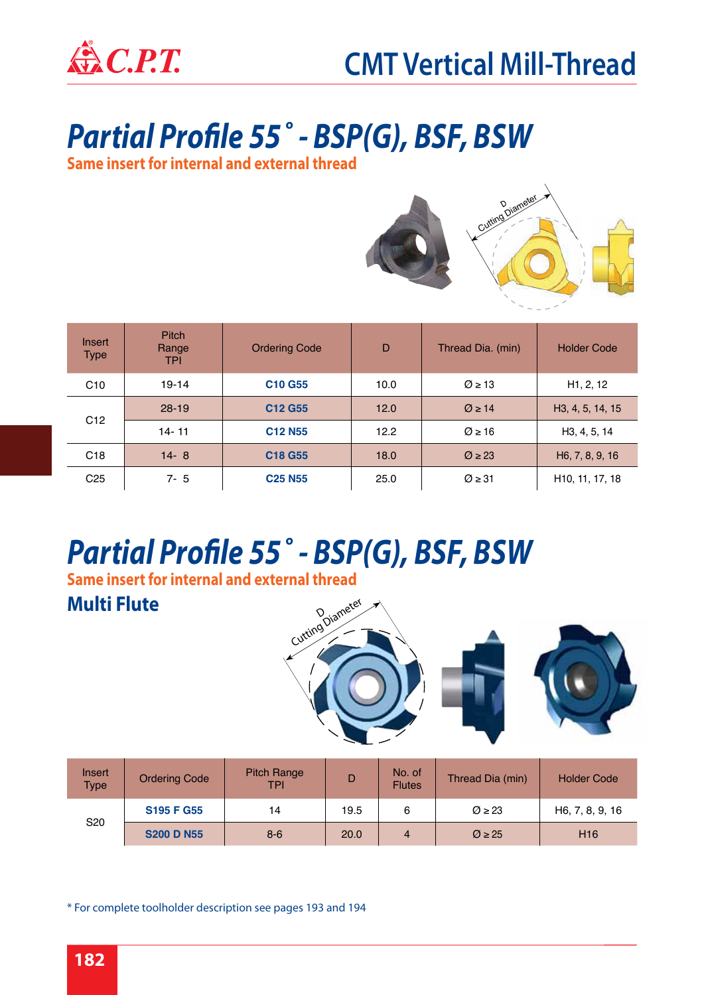

### *Partial Profile 55˚ - BSP(G), BSF, BSW*

**Same insert for internal and external thread**



| Insert<br>Type  | <b>Pitch</b><br>Range<br><b>TPI</b> | <b>Ordering Code</b>                  | D    | Thread Dia. (min)     | <b>Holder Code</b>            |
|-----------------|-------------------------------------|---------------------------------------|------|-----------------------|-------------------------------|
| C10             | $19 - 14$                           | C10 G55                               | 10.0 | $\varnothing \geq 13$ | H1, 2, 12                     |
|                 | $28-19$                             | C <sub>12</sub> G <sub>55</sub>       | 12.0 | $\varnothing \geq 14$ | H <sub>3</sub> , 4, 5, 14, 15 |
| C <sub>12</sub> | $14 - 11$                           | C <sub>12</sub> N <sub>55</sub>       | 12.2 | $\varnothing \geq 16$ | H <sub>3</sub> , 4, 5, 14     |
| C <sub>18</sub> | $14 - 8$                            | C <sub>18</sub> G <sub>55</sub>       | 18.0 | $\varnothing$ ≥ 23    | H6, 7, 8, 9, 16               |
| C <sub>25</sub> | $7 - 5$                             | <b>C<sub>25</sub></b> N <sub>55</sub> | 25.0 | $\varnothing$ > 31    | H <sub>10</sub> , 11, 17, 18  |

## *Partial Profile 55˚ - BSP(G), BSF, BSW*

**Same insert for internal and external thread**

#### **Multi Flute**



| Insert<br><b>Type</b> | <b>Ordering Code</b> | <b>Pitch Range</b><br>TPI |      | No. of<br><b>Flutes</b> | Thread Dia (min)      | <b>Holder Code</b> |
|-----------------------|----------------------|---------------------------|------|-------------------------|-----------------------|--------------------|
| S <sub>20</sub>       | <b>S195 F G55</b>    | 14                        | 19.5 | 6                       | $\varnothing$ ≥ 23    | H6, 7, 8, 9, 16    |
|                       | <b>S200 D N55</b>    | $8 - 6$                   | 20.0 | 4                       | $\varnothing \geq 25$ | H <sub>16</sub>    |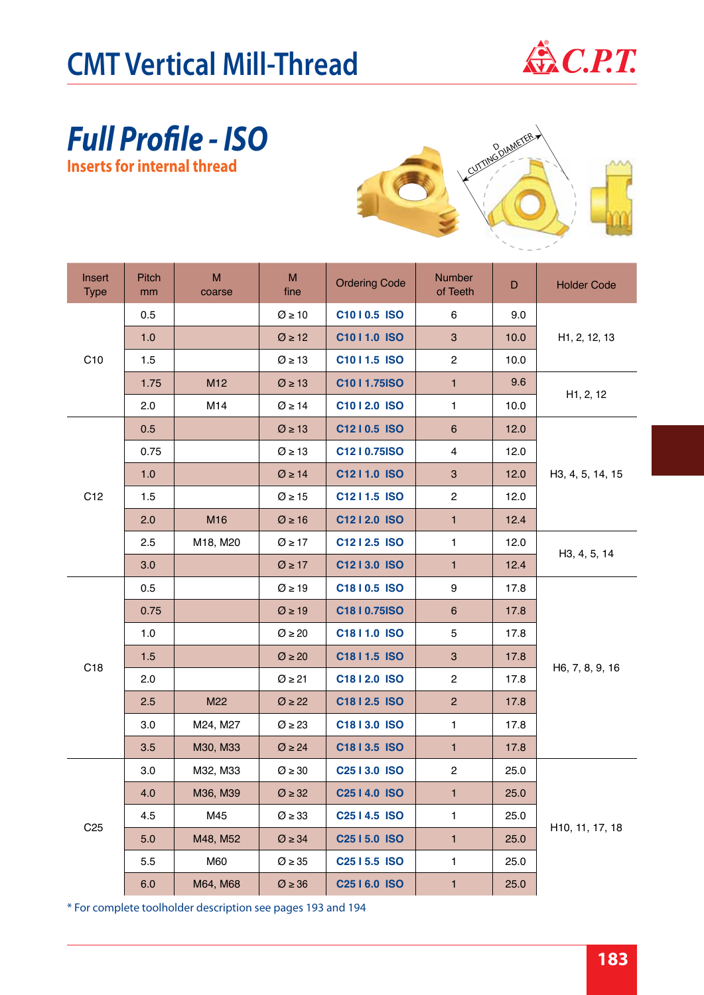

#### *Full Profile - ISO* **Inserts for internal thread**



| Insert<br><b>Type</b> | Pitch<br>mm | M<br>coarse     | M<br>fine               | <b>Ordering Code</b>        | <b>Number</b><br>of Teeth | D    | <b>Holder Code</b>         |  |
|-----------------------|-------------|-----------------|-------------------------|-----------------------------|---------------------------|------|----------------------------|--|
|                       | 0.5         |                 | $\varnothing$ ≥ 10      | C1010.5 ISO                 | 6                         | 9.0  |                            |  |
|                       | 1.0         |                 | $\varnothing$ ≥ 12      | C1011.0 ISO                 | $\mathbf{3}$              | 10.0 | H <sub>1</sub> , 2, 12, 13 |  |
| C10                   | 1.5         |                 | $\varnothing$ ≥ 13      | C1011.5 ISO                 | $\overline{2}$            | 10.0 |                            |  |
|                       | 1.75        | M <sub>12</sub> | $\varnothing$ ≥ 13      | C1011.75ISO                 | $\mathbf{1}$              | 9.6  |                            |  |
|                       | 2.0         | M14             | $\varnothing$ ≥ 14      | C1012.0 ISO                 | $\mathbf{1}$              | 10.0 | H1, 2, 12                  |  |
|                       | 0.5         |                 | $\varnothing$ ≥ 13      | C1210.5 ISO                 | 6                         | 12.0 |                            |  |
|                       | 0.75        |                 | $\varnothing$ ≥ 13      | C1210.75ISO                 | $\overline{4}$            | 12.0 |                            |  |
|                       | 1.0         |                 | $\varnothing$ ≥ 14      | C1211.0 ISO                 | $\mathbf{3}$              | 12.0 | H3, 4, 5, 14, 15           |  |
| C <sub>12</sub>       | 1.5         |                 | $\varnothing$ ≥ 15      | C1211.5 ISO                 | $\overline{2}$            | 12.0 |                            |  |
|                       | 2.0         | M16             | $\varnothing$ ≥ 16      | C1212.0 ISO                 | $\mathbf{1}$              | 12.4 |                            |  |
|                       | 2.5         | M18, M20        | $\varnothing$ > 17      | C1212.5 ISO                 | $\mathbf{1}$              | 12.0 | H3, 4, 5, 14               |  |
|                       | 3.0         |                 | $\varnothing$ ≥ 17      | C1213.0 ISO                 | $\mathbf{1}$              | 12.4 |                            |  |
|                       | 0.5         |                 | $\varnothing$ ≥ 19      | C1810.5 ISO                 | 9                         | 17.8 |                            |  |
|                       | 0.75        |                 | $\varnothing$ ≥ 19      | C18   0.75   SO             | 6                         | 17.8 |                            |  |
|                       | 1.0         |                 | $\varnothing$ $\geq$ 20 | C1811.0 ISO                 | 5                         | 17.8 |                            |  |
| C18                   | 1.5         |                 | $\varnothing$ $\geq$ 20 | C18   1.5 ISO               | $\mathbf{3}$              | 17.8 | H6, 7, 8, 9, 16            |  |
|                       | 2.0         |                 | $\varnothing$ ≥ 21      | C1812.0 ISO                 | $\overline{2}$            | 17.8 |                            |  |
|                       | 2.5         | M22             | $\varnothing$ ≥ 22      | C1812.5 ISO                 | $\overline{2}$            | 17.8 |                            |  |
|                       | 3.0         | M24, M27        | $\varnothing$ ≥ 23      | C1813.0 ISO                 | $\mathbf{1}$              | 17.8 |                            |  |
|                       | 3.5         | M30, M33        | $\varnothing$ ≥ 24      | C18   3.5 ISO               | $\mathbf{1}$              | 17.8 |                            |  |
|                       | 3.0         | M32, M33        | $\varnothing$ $\geq 30$ | C <sub>25</sub>   3.0   ISO | $\mathbf{2}$              | 25.0 |                            |  |
|                       | 4.0         | M36, M39        | $\varnothing$ $\geq$ 32 | C <sub>25</sub>   4.0   ISO | $\mathbf{1}$              | 25.0 |                            |  |
| C <sub>25</sub>       | 4.5         | M45             | $\varnothing$ ≥ 33      | C <sub>25</sub>   4.5   ISO | $\mathbf{1}$              | 25.0 |                            |  |
|                       | 5.0         | M48, M52        | $\varnothing$ $\geq$ 34 | C <sub>25</sub>   5.0   ISO | $\mathbf{1}$              | 25.0 | H10, 11, 17, 18            |  |
|                       | 5.5         | M60             | $\varnothing$ $\geq 35$ | C <sub>25</sub>   5.5   SO  | $\mathbf{1}$              | 25.0 |                            |  |
|                       | 6.0         | M64, M68        | $\varnothing \geq 36$   | C <sub>25</sub>   6.0   ISO | $\mathbf{1}$              | 25.0 |                            |  |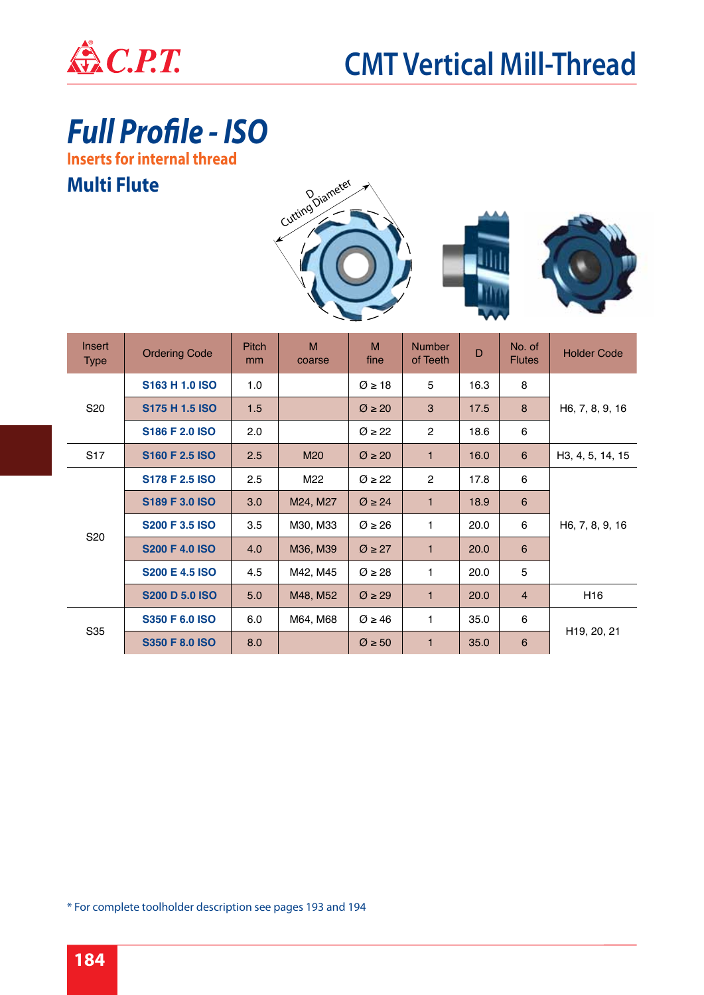

*Full Profile - ISO*

**Inserts for internal thread**

#### **Multi Flute**





| <b>Insert</b><br><b>Type</b> | <b>Ordering Code</b>       | <b>Pitch</b><br>mm | M<br>coarse | M<br>fine             | <b>Number</b><br>of Teeth | D    | No. of<br><b>Flutes</b> | <b>Holder Code</b>       |
|------------------------------|----------------------------|--------------------|-------------|-----------------------|---------------------------|------|-------------------------|--------------------------|
|                              | S163 H 1.0 ISO             | 1.0                |             | $\varnothing \geq 18$ | 5                         | 16.3 | 8                       |                          |
| S <sub>20</sub>              | S175 H 1.5 ISO             | 1.5                |             | $\varnothing$ ≥ 20    | 3                         | 17.5 | 8                       | H6, 7, 8, 9, 16          |
|                              | S186 F 2.0 ISO             | 2.0                |             | $\varnothing$ ≥ 22    | $\overline{2}$            | 18.6 | 6                       |                          |
| S <sub>17</sub>              | S <sub>160</sub> F 2.5 ISO | 2.5                | M20         | $\varnothing$ ≥ 20    | $\mathbf{1}$              | 16.0 | 6                       | H3, 4, 5, 14, 15         |
|                              | S178 F 2.5 ISO             | 2.5                | M22         | $\varnothing$ ≥ 22    | $\overline{2}$            | 17.8 | 6                       |                          |
|                              | S189 F 3.0 ISO             | 3.0                | M24, M27    | $\varnothing \geq 24$ | $\mathbf{1}$              | 18.9 | 6                       |                          |
| S <sub>20</sub>              | <b>S200 F 3.5 ISO</b>      | 3.5                | M30, M33    | $\varnothing \geq 26$ | 1                         | 20.0 | 6                       | H6, 7, 8, 9, 16          |
|                              | <b>S200 F 4.0 ISO</b>      | 4.0                | M36, M39    | $\varnothing$ ≥ 27    | $\mathbf{1}$              | 20.0 | $6\phantom{1}6$         |                          |
|                              | <b>S200 E 4.5 ISO</b>      | 4.5                | M42, M45    | $\varnothing$ ≥ 28    | 1                         | 20.0 | 5                       |                          |
|                              | <b>S200 D 5.0 ISO</b>      | 5.0                | M48, M52    | $\varnothing$ ≥ 29    | $\mathbf{1}$              | 20.0 | $\overline{4}$          | H <sub>16</sub>          |
| S35                          | <b>S350 F 6.0 ISO</b>      | 6.0                | M64, M68    | $\varnothing$ ≥ 46    | 1                         | 35.0 | 6                       |                          |
|                              | <b>S350 F 8.0 ISO</b>      | 8.0                |             | $\varnothing \geq 50$ | $\mathbf{1}$              | 35.0 | $6\phantom{1}$          | H <sub>19</sub> , 20, 21 |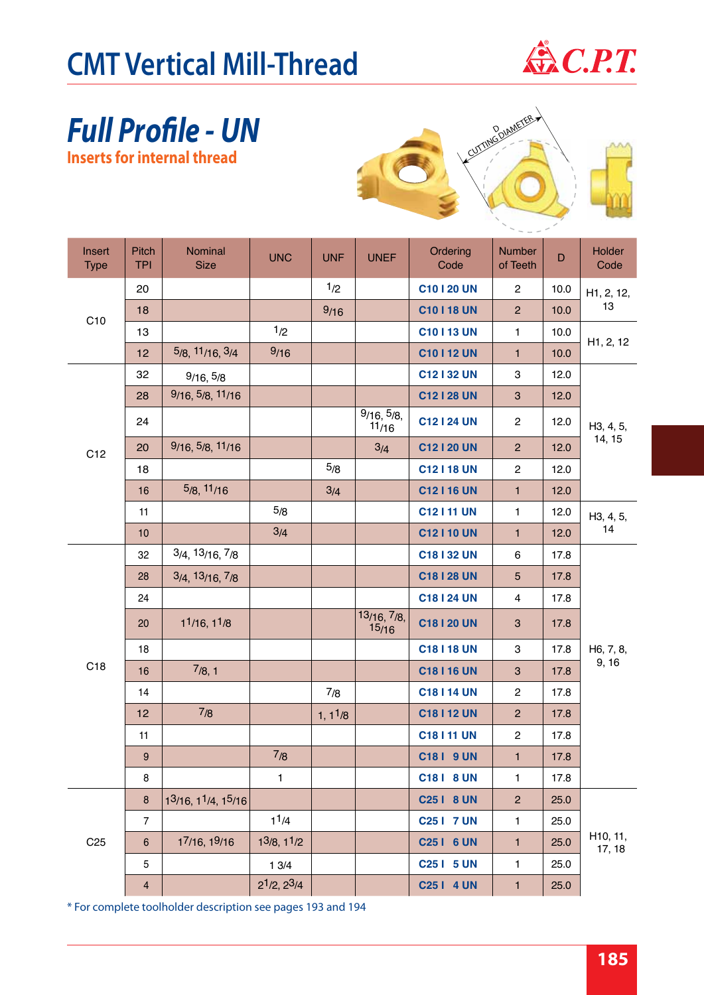

#### *Full Profile - UN* **Inserts for internal thread**



| Insert<br><b>Type</b> | <b>Pitch</b><br><b>TPI</b> | Nominal<br><b>Size</b>  | <b>UNC</b>                           | <b>UNF</b>           | <b>UNEF</b>          | Ordering<br>Code | <b>Number</b><br>of Teeth | D    | <b>Holder</b><br>Code  |  |
|-----------------------|----------------------------|-------------------------|--------------------------------------|----------------------|----------------------|------------------|---------------------------|------|------------------------|--|
|                       | 20                         |                         |                                      | 1/2                  |                      | C10120 UN        | $\overline{c}$            | 10.0 | H1, 2, 12,             |  |
| C10                   | 18                         |                         |                                      | 9/16                 |                      | <b>C10118 UN</b> | $\overline{c}$            | 10.0 | 13                     |  |
|                       | 13                         |                         | 1/2                                  |                      |                      | C10113 UN        | 1                         | 10.0 | H <sub>1</sub> , 2, 12 |  |
|                       | 12                         | 5/8, 11/16, 3/4         | 9/16                                 |                      |                      | <b>C10112 UN</b> | $\mathbf{1}$              | 10.0 |                        |  |
|                       | 32                         | 9/16, 5/8               |                                      |                      |                      | C12132 UN        | 3                         | 12.0 |                        |  |
|                       | 28                         | 9/16, 5/8, 11/16        |                                      |                      |                      | C12128 UN        | $\sqrt{3}$                | 12.0 |                        |  |
|                       | 24                         |                         |                                      |                      | 9/16, 5/8,<br>11/16  | <b>C12124 UN</b> | $\overline{c}$            | 12.0 | H3, 4, 5,              |  |
| C12                   | 20                         | 9/16, 5/8, 11/16        |                                      |                      | 3/4                  | C12120 UN        | $\overline{2}$            | 12.0 | 14, 15                 |  |
|                       | 18                         |                         |                                      | 5/8                  |                      | C12 I 18 UN      | $\overline{c}$            | 12.0 |                        |  |
|                       | 16                         | 5/8, 11/16              |                                      | 3/4                  |                      | C12116 UN        | $\mathbf{1}$              | 12.0 |                        |  |
|                       | 11                         |                         | 5/8                                  |                      |                      | <b>C12111 UN</b> | $\mathbf{1}$              | 12.0 | H3, 4, 5,              |  |
|                       | 10                         |                         | 3/4                                  |                      |                      | C12 I 10 UN      | $\mathbf{1}$              | 12.0 | 14                     |  |
|                       | 32                         | $3/4$ , $13/16$ , $7/8$ |                                      |                      |                      | C18132 UN        | 6                         | 17.8 |                        |  |
|                       | 28                         | $3/4$ , $13/16$ , $7/8$ |                                      |                      |                      | <b>C18128 UN</b> | 5                         | 17.8 |                        |  |
|                       | 24                         |                         |                                      |                      |                      | C18124 UN        | 4                         | 17.8 |                        |  |
|                       | 20                         | 11/16, 11/8             |                                      |                      | 13/16, 7/8,<br>15/16 | <b>C18120 UN</b> | $\ensuremath{\mathsf{3}}$ | 17.8 |                        |  |
|                       | 18                         |                         |                                      |                      |                      | <b>C18118 UN</b> | 3                         | 17.8 | H6, 7, 8,              |  |
| C <sub>18</sub>       | 16                         | 7/8, 1                  |                                      |                      |                      | <b>C18116 UN</b> | $\ensuremath{\mathsf{3}}$ | 17.8 | 9, 16                  |  |
|                       | 14                         |                         |                                      | 7/8                  |                      | <b>C18114 UN</b> | $\overline{c}$            | 17.8 |                        |  |
|                       | 12                         | 7/8                     |                                      | 1, 1 <sup>1</sup> /8 |                      | <b>C18112 UN</b> | $\overline{c}$            | 17.8 |                        |  |
|                       | 11                         |                         |                                      |                      |                      | <b>C18111 UN</b> | $\overline{c}$            | 17.8 |                        |  |
|                       | $\boldsymbol{9}$           |                         | 7/8                                  |                      |                      | <b>C181 9 UN</b> | $\mathbf{1}$              | 17.8 |                        |  |
|                       | 8                          |                         | 1                                    |                      |                      | C181 8 UN        | 1                         | 17.8 |                        |  |
|                       | $\bf 8$                    | 13/16, 11/4, 15/16      |                                      |                      |                      | C25   8 UN       | $\overline{c}$            | 25.0 |                        |  |
|                       | $\overline{7}$             |                         | 1 <sup>1</sup> /4                    |                      |                      | C25   7 UN       | 1                         | 25.0 |                        |  |
| C <sub>25</sub>       | $\,6\,$                    | 17/16, 19/16            | 13/8, 11/2                           |                      |                      | C25   6 UN       | $\mathbf{1}$              | 25.0 | H10, 11,<br>17, 18     |  |
|                       | 5                          |                         | 13/4                                 |                      |                      | C25   5 UN       | 1                         | 25.0 |                        |  |
|                       | 4                          |                         | 2 <sup>1</sup> /2, 2 <sup>3</sup> /4 |                      |                      | C25   4 UN       | 1                         | 25.0 |                        |  |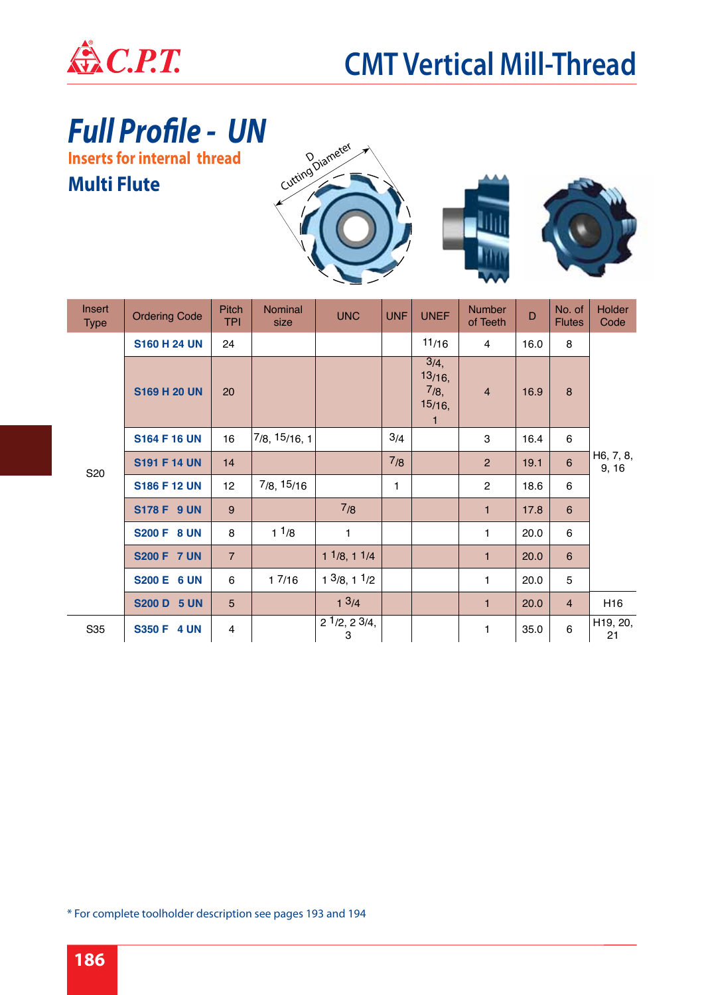

### *Full Profile - UN*

**Inserts for internal thread**

#### **Multi Flute**







| <b>Insert</b><br><b>Type</b> | <b>Ordering Code</b> | <b>Pitch</b><br><b>TPI</b> | Nominal<br>size     | <b>UNC</b>                             | <b>UNF</b> | <b>UNEF</b>                                         | <b>Number</b><br>of Teeth | D    | No. of<br><b>Flutes</b> | Holder<br>Code     |  |
|------------------------------|----------------------|----------------------------|---------------------|----------------------------------------|------------|-----------------------------------------------------|---------------------------|------|-------------------------|--------------------|--|
|                              | <b>S160 H 24 UN</b>  | 24                         |                     |                                        |            | 11/16                                               | $\overline{4}$            | 16.0 | 8                       |                    |  |
| S20                          | <b>S169 H 20 UN</b>  | 20                         |                     |                                        |            | 3/4,<br>$13/16$ ,<br>7/8,<br>15/16,<br>$\mathbf{1}$ | $\overline{4}$            | 16.9 | 8                       |                    |  |
|                              | <b>S164 F 16 UN</b>  | 16                         | $7/8$ , $15/16$ , 1 |                                        | 3/4        |                                                     | 3                         | 16.4 | 6                       |                    |  |
|                              | <b>S191 F 14 UN</b>  | 14                         |                     |                                        | 7/8        |                                                     | $\overline{2}$            | 19.1 | $\,6\,$                 | H6, 7, 8,<br>9, 16 |  |
|                              | <b>S186 F 12 UN</b>  | 12 <sub>2</sub>            | 7/8, 15/16          |                                        | 1          |                                                     | $\overline{c}$            | 18.6 | 6                       |                    |  |
|                              | <b>S178 F 9 UN</b>   | 9                          |                     | 7/8                                    |            |                                                     | $\mathbf{1}$              | 17.8 | $6\phantom{1}$          |                    |  |
|                              | <b>S200 F 8 UN</b>   | 8                          | 11/8                | 1                                      |            |                                                     | $\mathbf{1}$              | 20.0 | 6                       |                    |  |
|                              | <b>S200 F 7 UN</b>   | $\overline{7}$             |                     | $1^{1/8}$ , 1 $1/4$                    |            |                                                     | $\mathbf{1}$              | 20.0 | 6                       |                    |  |
|                              | <b>S200 E 6 UN</b>   | 6                          | 17/16               | $1 \frac{3}{8}$ , $1 \frac{1}{2}$      |            |                                                     | 1                         | 20.0 | 5                       |                    |  |
|                              | <b>S200 D 5 UN</b>   | 5                          |                     | $1 \frac{3}{4}$                        |            |                                                     | $\mathbf{1}$              | 20.0 | $\overline{4}$          | H <sub>16</sub>    |  |
| S35                          | <b>S350 F 4 UN</b>   | $\overline{4}$             |                     | $2\frac{1}{2}$ , $2\frac{3}{4}$ ,<br>3 |            |                                                     | 1                         | 35.0 | 6                       | H19, 20,<br>21     |  |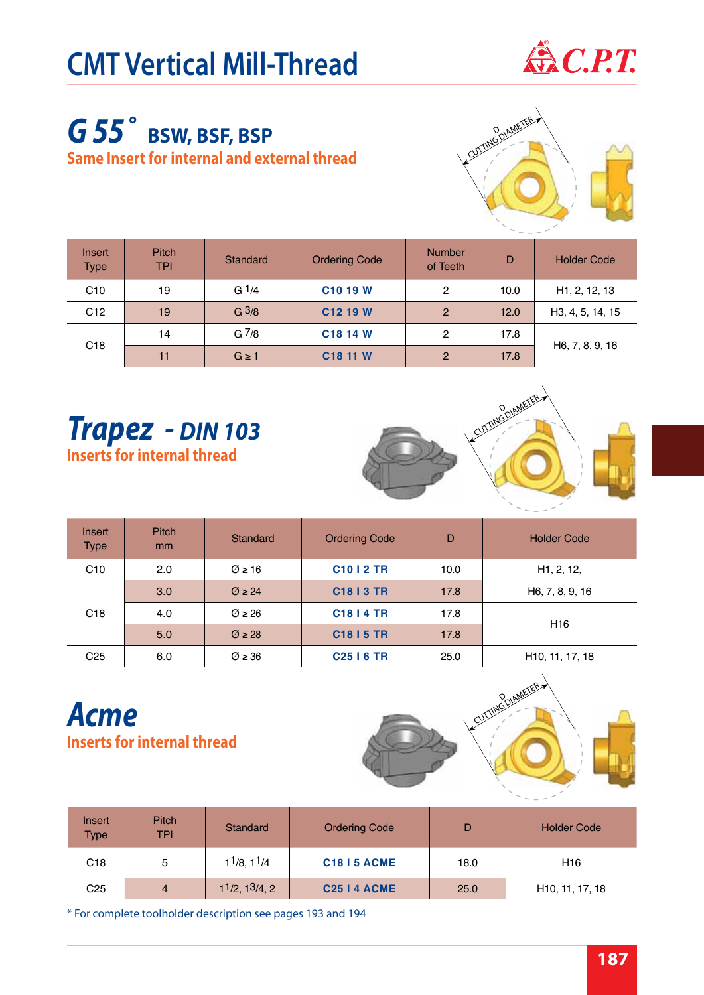

#### *G 55˚* **BSW, BSF, BSP Same Insert for internal and external thread**



| Insert<br><b>Type</b> | <b>Pitch</b><br>TPI | Standard          | <b>Ordering Code</b> | <b>Number</b><br>of Teeth | D    | <b>Holder Code</b>         |
|-----------------------|---------------------|-------------------|----------------------|---------------------------|------|----------------------------|
| C <sub>10</sub>       | 19                  | G $1/4$           | C <sub>10</sub> 19 W | 2                         | 10.0 | H <sub>1</sub> , 2, 12, 13 |
| C12                   | 19                  | G <sup>3</sup> /8 | C12 19 W             | $\overline{2}$            | 12.0 | H3, 4, 5, 14, 15           |
| C <sub>18</sub>       | 14                  | G <sup>7</sup> /8 | C <sub>18</sub> 14 W | 2                         | 17.8 |                            |
|                       | 11                  | $G \geq 1$        | C <sub>18</sub> 11 W | $\overline{2}$            | 17.8 | H6, 7, 8, 9, 16            |

#### *Trapez - DIN 103* **Inserts for internal thread**



| Insert<br><b>Type</b> | <b>Pitch</b><br>mm | Standard           | <b>Ordering Code</b>   | D    | <b>Holder Code</b>           |
|-----------------------|--------------------|--------------------|------------------------|------|------------------------------|
| C10                   | 2.0                | $\varnothing$ ≥ 16 | <b>C10   2 TR</b>      | 10.0 | H1, 2, 12,                   |
|                       | 3.0                | $\varnothing$ ≥ 24 | C <sub>18</sub>   3 TR | 17.8 | H6, 7, 8, 9, 16              |
| C <sub>18</sub>       | 4.0                | $\varnothing$ ≥ 26 | <b>C18   4 TR</b>      | 17.8 | H <sub>16</sub>              |
|                       | 5.0                | $\varnothing$ ≥ 28 | <b>C18   5 TR</b>      | 17.8 |                              |
| C <sub>25</sub>       | 6.0                | $\varnothing$ ≥ 36 | <b>C25   6 TR</b>      | 25.0 | H <sub>10</sub> , 11, 17, 18 |

#### *Acme* **Inserts for internal thread**



| Insert<br><b>Type</b> | <b>Pitch</b><br><b>TPI</b> | Standard        | <b>Ordering Code</b> | D    | <b>Holder Code</b>           |
|-----------------------|----------------------------|-----------------|----------------------|------|------------------------------|
| C <sub>18</sub>       | 5                          | $11/8$ , $11/4$ | <b>C1815 ACME</b>    | 18.0 | H <sub>16</sub>              |
| C <sub>25</sub>       | $\overline{4}$             | 11/2, 13/4, 2   | <b>C25 I 4 ACME</b>  | 25.0 | H <sub>10</sub> , 11, 17, 18 |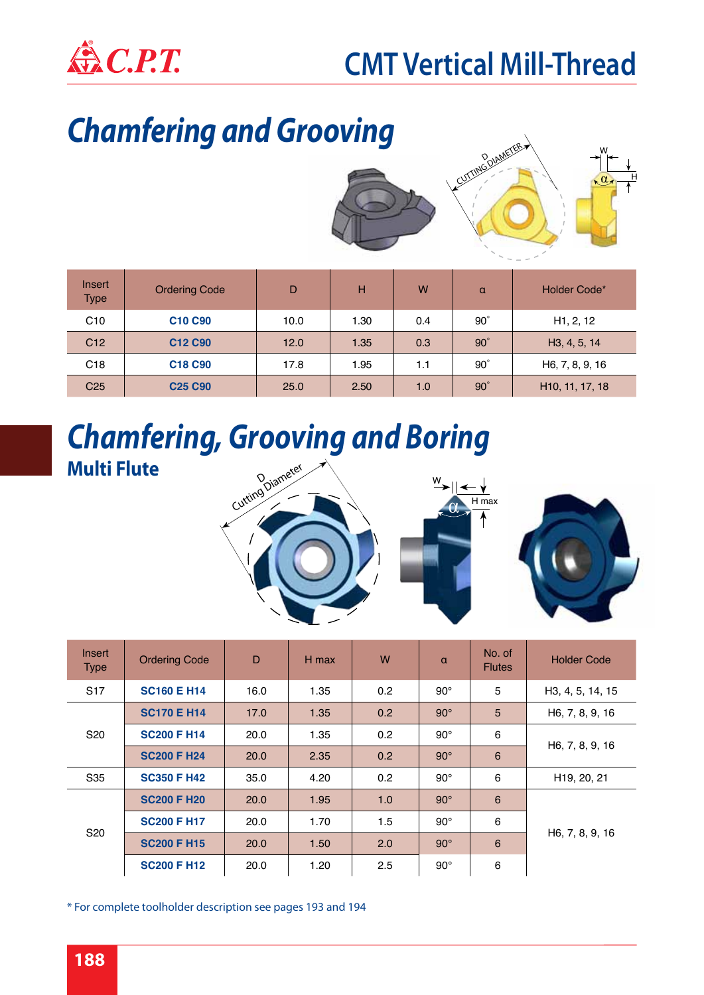

### *Chamfering and Grooving*



| Insert<br><b>Type</b> | <b>Ordering Code</b>            | D    | н    | W   | $\alpha$   | Holder Code*                 |
|-----------------------|---------------------------------|------|------|-----|------------|------------------------------|
| C10                   | C <sub>10</sub> C <sub>90</sub> | 10.0 | 1.30 | 0.4 | $90^\circ$ | H <sub>1</sub> , 2, 12       |
| C <sub>12</sub>       | C12 C90                         | 12.0 | 1.35 | 0.3 | $90^\circ$ | H <sub>3</sub> , 4, 5, 14    |
| C <sub>18</sub>       | C <sub>18</sub> C <sub>90</sub> | 17.8 | 1.95 | 1.1 | $90^\circ$ | H6, 7, 8, 9, 16              |
| C <sub>25</sub>       | <b>C25 C90</b>                  | 25.0 | 2.50 | 1.0 | $90^\circ$ | H <sub>10</sub> , 11, 17, 18 |

#### *Chamfering, Grooving and Boring* **Multi Flute**



| Insert<br><b>Type</b> | <b>Ordering Code</b> | D           | H max | W   | $\alpha$     | No. of<br><b>Flutes</b> | <b>Holder Code</b>       |  |
|-----------------------|----------------------|-------------|-------|-----|--------------|-------------------------|--------------------------|--|
| S <sub>17</sub>       | <b>SC160 E H14</b>   | 16.0        | 1.35  | 0.2 | $90^{\circ}$ | 5                       | H3, 4, 5, 14, 15         |  |
|                       | <b>SC170 E H14</b>   | 17.0        | 1.35  | 0.2 | $90^\circ$   | 5                       | H6, 7, 8, 9, 16          |  |
| S <sub>20</sub>       | <b>SC200 F H14</b>   | 20.0        | 1.35  | 0.2 | $90^{\circ}$ | 6                       | H6, 7, 8, 9, 16          |  |
|                       | <b>SC200 F H24</b>   | <b>20.0</b> | 2.35  | 0.2 | $90^\circ$   | 6                       |                          |  |
| S35                   | <b>SC350 F H42</b>   | 35.0        | 4.20  | 0.2 | $90^{\circ}$ | 6                       | H <sub>19</sub> , 20, 21 |  |
|                       | <b>SC200 F H20</b>   | 20.0        | 1.95  | 1.0 | $90^\circ$   | 6                       |                          |  |
| S <sub>20</sub>       | <b>SC200 F H17</b>   | 20.0        | 1.70  | 1.5 | $90^\circ$   | 6                       |                          |  |
|                       | <b>SC200 F H15</b>   | 20.0        | 1.50  | 2.0 | $90^\circ$   | $\,6$                   | H6, 7, 8, 9, 16          |  |
|                       | <b>SC200 F H12</b>   | 20.0        | 1.20  | 2.5 | $90^{\circ}$ | 6                       |                          |  |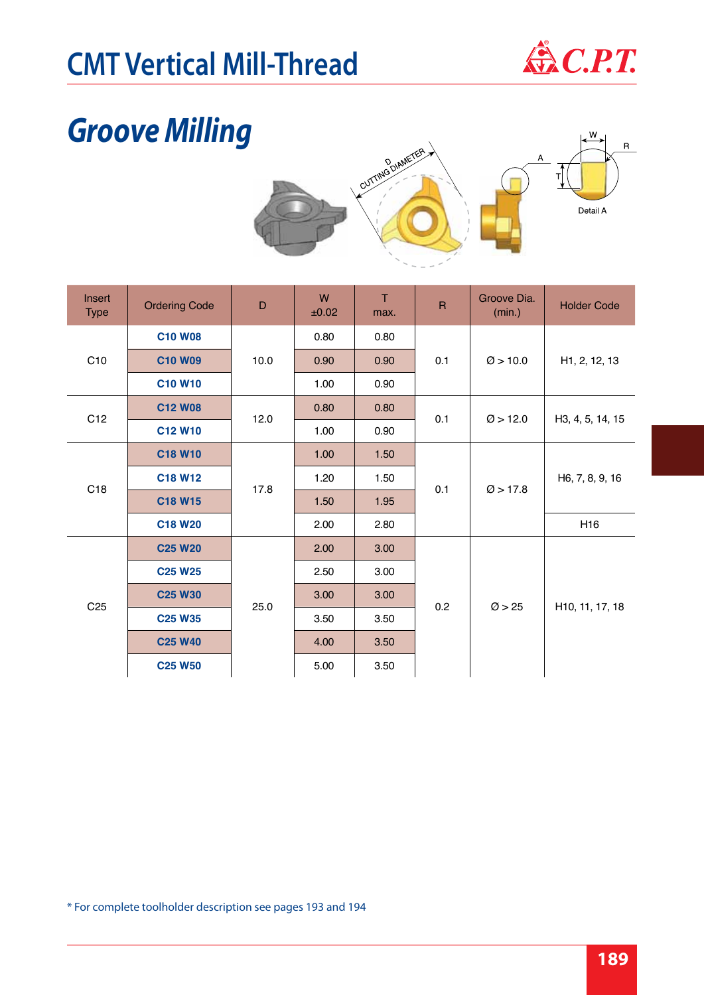# **CMT Vertical Mill-Thread**  $\bigoplus$  C.P.T.



### *Groove Milling*



| Insert<br><b>Type</b> | <b>Ordering Code</b> | D    | W<br>±0.02 | T<br>max. | $\overline{\mathsf{R}}$ | Groove Dia.<br>(min.) | <b>Holder Code</b>         |  |
|-----------------------|----------------------|------|------------|-----------|-------------------------|-----------------------|----------------------------|--|
|                       | <b>C10 W08</b>       |      | 0.80       | 0.80      |                         |                       |                            |  |
| C10                   | <b>C10 W09</b>       | 10.0 | 0.90       | 0.90      | 0.1                     | $\varnothing$ > 10.0  | H <sub>1</sub> , 2, 12, 13 |  |
|                       | <b>C10 W10</b>       |      | 1.00       | 0.90      |                         |                       |                            |  |
| C12                   | <b>C12 W08</b>       | 12.0 | 0.80       | 0.80      | 0.1                     | $\varnothing$ > 12.0  | H3, 4, 5, 14, 15           |  |
|                       | C12 W10              |      | 1.00       | 0.90      |                         |                       |                            |  |
|                       | C18 W10              |      | 1.00       | 1.50      |                         |                       | H6, 7, 8, 9, 16            |  |
| C18                   | C18 W12              | 17.8 | 1.20       | 1.50      | 0.1                     | $\varnothing$ > 17.8  |                            |  |
|                       | C18 W15              |      | 1.50       | 1.95      |                         |                       |                            |  |
|                       | <b>C18 W20</b>       |      | 2.00       | 2.80      |                         |                       | H <sub>16</sub>            |  |
|                       | <b>C25 W20</b>       |      | 2.00       | 3.00      |                         |                       |                            |  |
|                       | <b>C25 W25</b>       |      | 2.50       | 3.00      |                         |                       |                            |  |
|                       | <b>C25 W30</b>       | 25.0 | 3.00       | 3.00      | 0.2                     | $\varnothing$ > 25    |                            |  |
| C <sub>25</sub>       | <b>C25 W35</b>       |      | 3.50       | 3.50      |                         |                       | H10, 11, 17, 18            |  |
|                       | <b>C25 W40</b>       |      | 4.00       | 3.50      |                         |                       |                            |  |
|                       | <b>C25 W50</b>       |      | 5.00       | 3.50      |                         |                       |                            |  |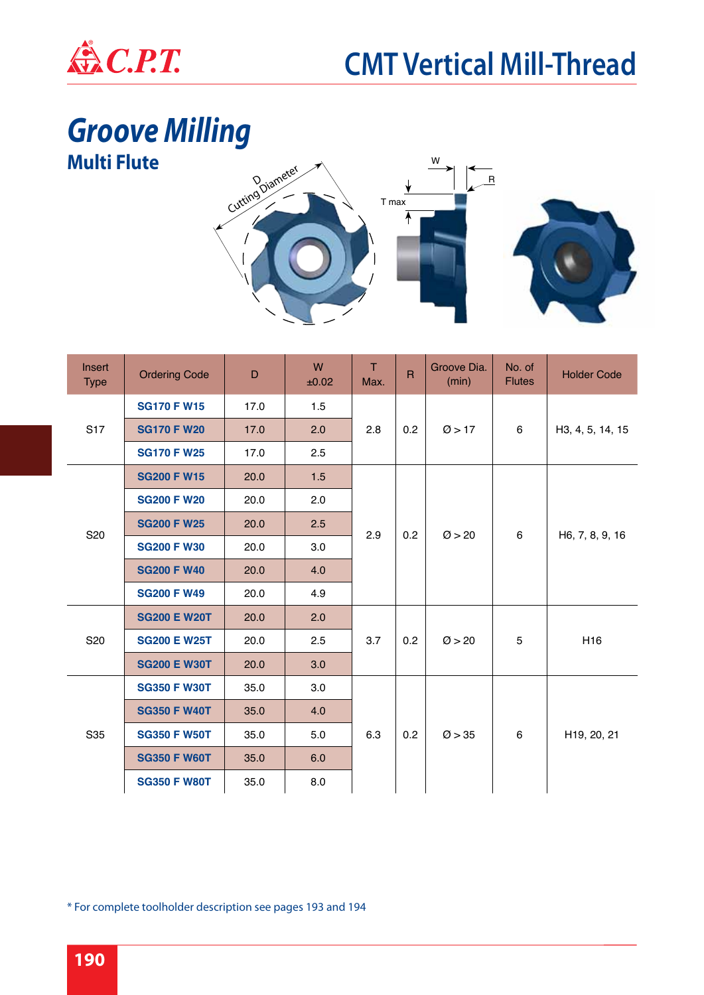

# *Groove Milling*



| Insert<br><b>Type</b> | <b>Ordering Code</b> | D    | W<br>±0.02 | T<br>Max. | $\overline{R}$ | Groove Dia.<br>(min) | No. of<br><b>Flutes</b> | <b>Holder Code</b> |
|-----------------------|----------------------|------|------------|-----------|----------------|----------------------|-------------------------|--------------------|
|                       | <b>SG170 F W15</b>   | 17.0 | 1.5        |           |                |                      |                         |                    |
| S <sub>17</sub>       | <b>SG170 F W20</b>   | 17.0 | 2.0        | 2.8       | 0.2            | $\varnothing$ > 17   | 6                       | H3, 4, 5, 14, 15   |
|                       | <b>SG170 F W25</b>   | 17.0 | 2.5        |           |                |                      |                         |                    |
|                       | <b>SG200 F W15</b>   | 20.0 | 1.5        |           |                |                      |                         |                    |
|                       | <b>SG200 F W20</b>   | 20.0 | 2.0        |           |                |                      | 6                       |                    |
| S <sub>20</sub>       | <b>SG200 F W25</b>   | 20.0 | 2.5        | 2.9       | 0.2            | $\varnothing$ > 20   |                         | H6, 7, 8, 9, 16    |
|                       | <b>SG200 F W30</b>   | 20.0 | 3.0        |           |                |                      |                         |                    |
|                       | <b>SG200 F W40</b>   | 20.0 | 4.0        |           |                |                      |                         |                    |
|                       | <b>SG200 F W49</b>   | 20.0 | 4.9        |           |                |                      |                         |                    |
|                       | <b>SG200 E W20T</b>  | 20.0 | 2.0        |           |                |                      | 5                       |                    |
| S20                   | <b>SG200 E W25T</b>  | 20.0 | 2.5        | 3.7       | 0.2            | $\varnothing$ > 20   |                         | H <sub>16</sub>    |
|                       | <b>SG200 E W30T</b>  | 20.0 | 3.0        |           |                |                      |                         |                    |
|                       | <b>SG350 F W30T</b>  | 35.0 | 3.0        |           |                |                      |                         |                    |
|                       | <b>SG350 F W40T</b>  | 35.0 | 4.0        |           |                |                      |                         |                    |
| S35                   | <b>SG350 F W50T</b>  | 35.0 | 5.0        | 6.3       | 0.2            | $\varnothing$ > 35   | 6                       | H19, 20, 21        |
|                       | <b>SG350 F W60T</b>  | 35.0 | 6.0        |           |                |                      |                         |                    |
|                       | <b>SG350 F W80T</b>  | 35.0 | 8.0        |           |                |                      |                         |                    |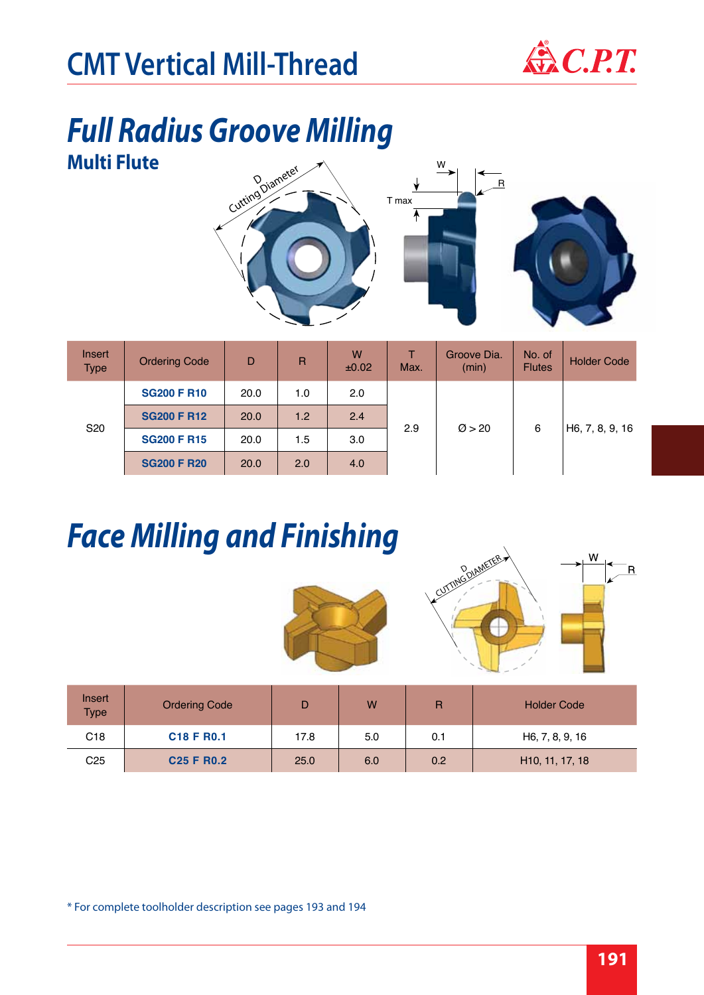

#### *Full Radius Groove Milling* **Multi Flute**



| Insert<br><b>Type</b> | <b>Ordering Code</b> | D    | $\mathsf{R}$ | W<br>±0.02 | Max. | Groove Dia.<br>(min) | No. of<br><b>Flutes</b> | <b>Holder Code</b> |
|-----------------------|----------------------|------|--------------|------------|------|----------------------|-------------------------|--------------------|
|                       | <b>SG200 F R10</b>   | 20.0 | 1.0          | 2.0        |      | $\varnothing$ > 20   | 6                       | H6, 7, 8, 9, 16    |
| S <sub>20</sub>       | <b>SG200 F R12</b>   | 20.0 | 1.2          | 2.4        | 2.9  |                      |                         |                    |
|                       | <b>SG200 F R15</b>   | 20.0 | 1.5          | 3.0        |      |                      |                         |                    |
|                       | <b>SG200 F R20</b>   | 20.0 | 2.0          | 4.0        |      |                      |                         |                    |

## *Face Milling and Finishing*





| Insert<br><b>Type</b> | <b>Ordering Code</b>               |      | W   | R   | <b>Holder Code</b>           |
|-----------------------|------------------------------------|------|-----|-----|------------------------------|
| C <sub>18</sub>       | C <sub>18</sub> F R <sub>0.1</sub> | 17.8 | 5.0 | 0.1 | H6, 7, 8, 9, 16              |
| C <sub>25</sub>       | <b>C25 F R0.2</b>                  | 25.0 | 6.0 | 0.2 | H <sub>10</sub> , 11, 17, 18 |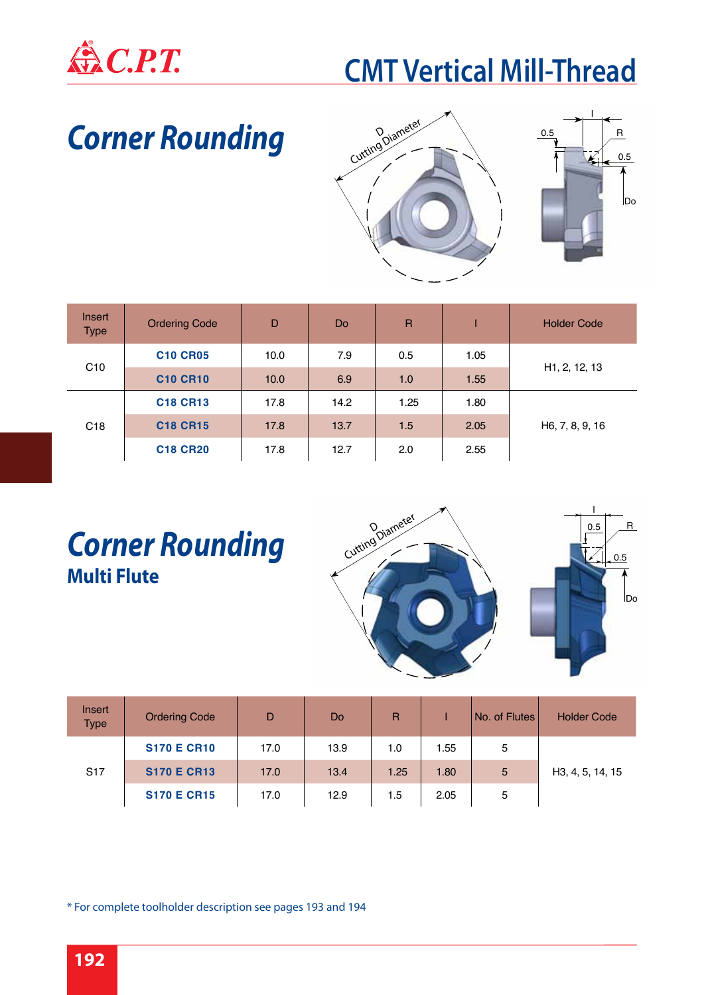

### *Corner Rounding*



| <b>Insert</b><br><b>Type</b> | <b>Ordering Code</b> | D    | D <sub>o</sub> | $\overline{R}$ |      | <b>Holder Code</b>         |
|------------------------------|----------------------|------|----------------|----------------|------|----------------------------|
|                              | <b>C10 CR05</b>      | 10.0 | 7.9            | 0.5            | 1.05 |                            |
| C <sub>10</sub>              | <b>C10 CR10</b>      | 10.0 | 6.9            | 1.0            | 1.55 | H <sub>1</sub> , 2, 12, 13 |
|                              | <b>C18 CR13</b>      | 17.8 | 14.2           | 1.25           | 1.80 |                            |
| C <sub>18</sub>              | <b>C18 CR15</b>      | 17.8 | 13.7           | 1.5            | 2.05 | H6, 7, 8, 9, 16            |
|                              | <b>C18 CR20</b>      | 17.8 | 12.7           | 2.0            | 2.55 |                            |

#### *Corner Rounding* **Multi Flute**



| Insert<br><b>Type</b> | <b>Ordering Code</b> | D    | Do   | R    |      | No. of Flutes | <b>Holder Code</b> |
|-----------------------|----------------------|------|------|------|------|---------------|--------------------|
|                       | <b>S170 E CR10</b>   | 17.0 | 13.9 | 1.0  | 1.55 | 5             |                    |
| S <sub>17</sub>       | <b>S170 E CR13</b>   | 17.0 | 13.4 | 1.25 | 1.80 | 5             | H3, 4, 5, 14, 15   |
|                       | <b>S170 E CR15</b>   | 17.0 | 12.9 | 1.5  | 2.05 | 5             |                    |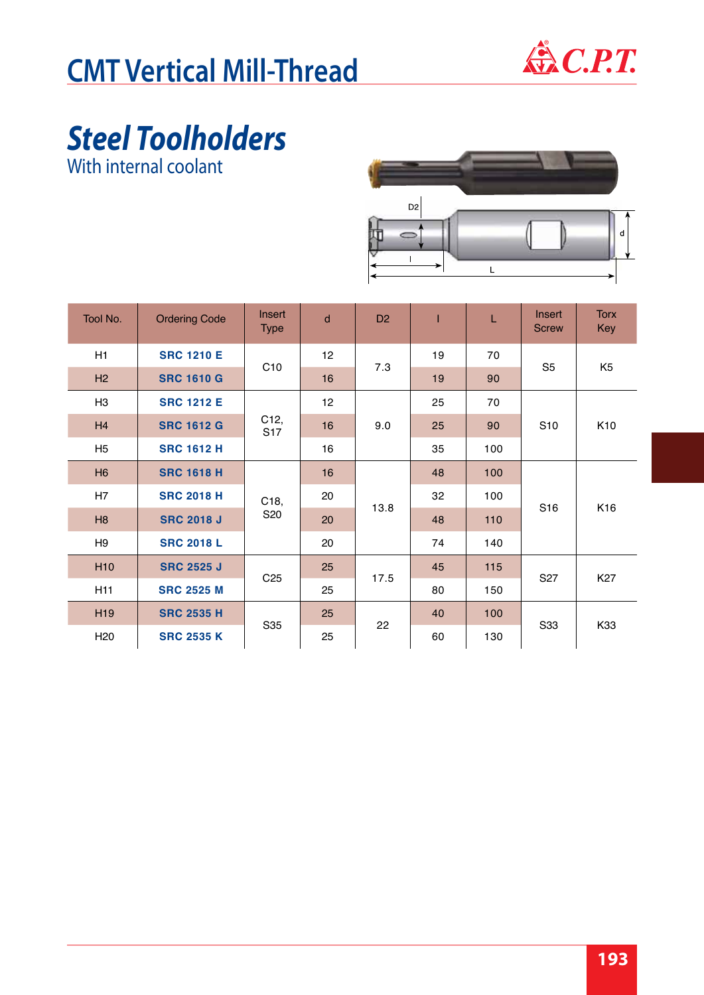

# *Steel Toolholders*

With internal coolant



| Tool No.        | <b>Ordering Code</b> | Insert<br><b>Type</b>   | d               | D <sub>2</sub> |    | L   | Insert<br><b>Screw</b> | <b>Torx</b><br>Key |
|-----------------|----------------------|-------------------------|-----------------|----------------|----|-----|------------------------|--------------------|
| H1              | <b>SRC 1210 E</b>    | C <sub>10</sub>         | 12 <sub>2</sub> | 7.3            | 19 | 70  | S <sub>5</sub>         | K <sub>5</sub>     |
| H2              | <b>SRC 1610 G</b>    |                         | 16              |                | 19 | 90  |                        |                    |
| H <sub>3</sub>  | <b>SRC 1212 E</b>    |                         | 12 <sup>2</sup> |                | 25 | 70  |                        |                    |
| H4              | <b>SRC 1612 G</b>    | C12,<br>S <sub>17</sub> | 16              | 9.0            | 25 | 90  | S <sub>10</sub>        | K <sub>10</sub>    |
| H <sub>5</sub>  | <b>SRC 1612 H</b>    |                         | 16              |                | 35 | 100 |                        |                    |
| H6              | <b>SRC 1618 H</b>    |                         | 16              |                | 48 | 100 |                        |                    |
| H7              | <b>SRC 2018 H</b>    | C18,                    | 20              | 13.8           | 32 | 100 | S <sub>16</sub>        | K16                |
| H8              | <b>SRC 2018 J</b>    | S <sub>20</sub>         | 20              |                | 48 | 110 |                        |                    |
| H <sub>9</sub>  | <b>SRC 2018 L</b>    |                         | 20              |                | 74 | 140 |                        |                    |
| H <sub>10</sub> | <b>SRC 2525 J</b>    | C <sub>25</sub>         | 25              | 17.5           | 45 | 115 | S <sub>27</sub>        | K <sub>27</sub>    |
| H11             | <b>SRC 2525 M</b>    |                         | 25              |                | 80 | 150 |                        |                    |
| H <sub>19</sub> | <b>SRC 2535 H</b>    | S35                     | 25              | 22             | 40 | 100 | S33                    | K33                |
| H <sub>20</sub> | <b>SRC 2535 K</b>    |                         | 25              |                | 60 | 130 |                        |                    |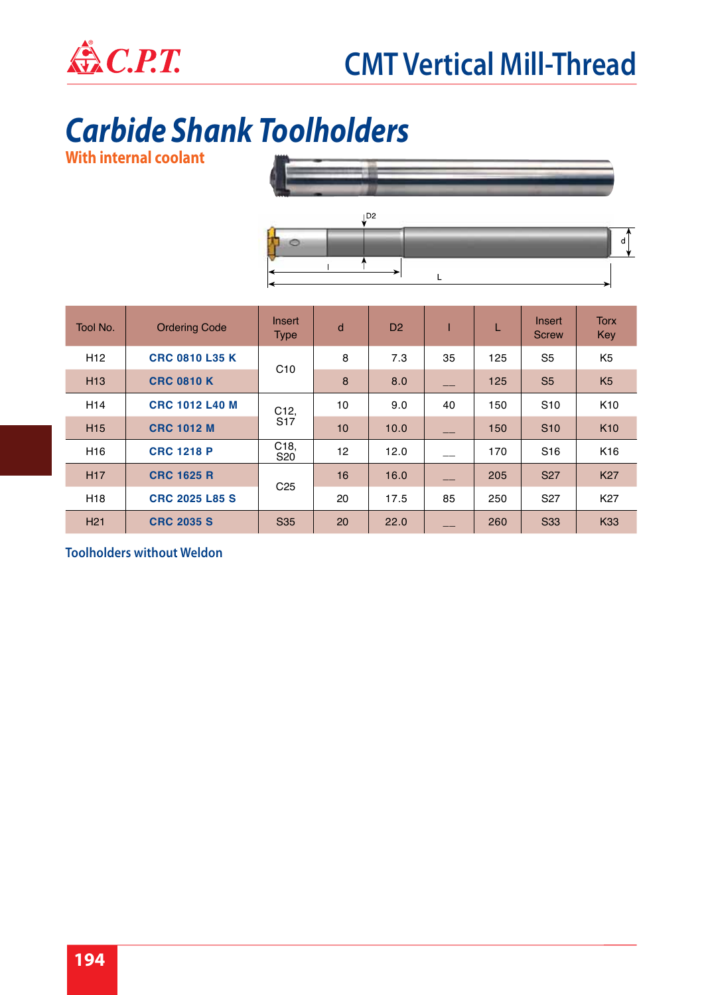

### *Carbide Shank Toolholders*

**With internal coolant**



 $\overline{\mathsf{L}}$ 

| Tool No.        | <b>Ordering Code</b>  | Insert<br><b>Type</b>              | d  | D <sub>2</sub> |    | L   | Insert<br><b>Screw</b> | <b>Torx</b><br>Key |
|-----------------|-----------------------|------------------------------------|----|----------------|----|-----|------------------------|--------------------|
| H <sub>12</sub> | <b>CRC 0810 L35 K</b> |                                    | 8  | 7.3            | 35 | 125 | S <sub>5</sub>         | K <sub>5</sub>     |
| H <sub>13</sub> | <b>CRC 0810 K</b>     | C10                                | 8  | 8.0            |    | 125 | S <sub>5</sub>         | K <sub>5</sub>     |
| H <sub>14</sub> | <b>CRC 1012 L40 M</b> | C12,                               | 10 | 9.0            | 40 | 150 | S <sub>10</sub>        | K <sub>10</sub>    |
| H <sub>15</sub> | <b>CRC 1012 M</b>     | S <sub>17</sub>                    | 10 | 10.0           |    | 150 | S <sub>10</sub>        | K <sub>10</sub>    |
| H <sub>16</sub> | <b>CRC 1218 P</b>     | C <sub>18</sub><br>S <sub>20</sub> | 12 | 12.0           |    | 170 | S <sub>16</sub>        | K <sub>16</sub>    |
| <b>H17</b>      | <b>CRC 1625 R</b>     |                                    | 16 | 16.0           |    | 205 | <b>S27</b>             | <b>K27</b>         |
| H <sub>18</sub> | <b>CRC 2025 L85 S</b> | C <sub>25</sub>                    | 20 | 17.5           | 85 | 250 | S <sub>27</sub>        | K27                |
| H <sub>21</sub> | <b>CRC 2035 S</b>     | S <sub>35</sub>                    | 20 | 22.0           |    | 260 | <b>S33</b>             | <b>K33</b>         |

 $\uparrow$ 

**Toolholders without Weldon**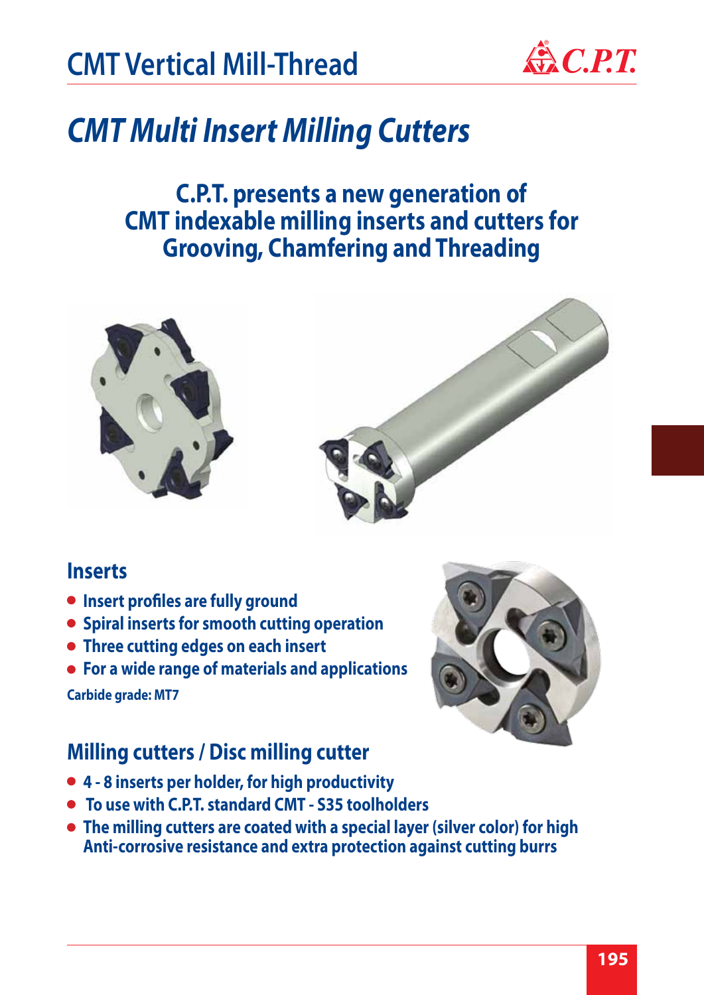

### *CMT Multi Insert Milling Cutters*

#### **C.P.T. presents a new generation of CMT indexable milling inserts and cutters for Grooving, Chamfering and Threading**





#### **Inserts**

- **Insert profiles are fully ground**
- **Spiral inserts for smooth cutting operation**
- **Three cutting edges on each insert**
- **For a wide range of materials and applications**

**Carbide grade: MT7**

### **Milling cutters / Disc milling cutter**

- **4 8 inserts per holder, for high productivity**
- **To use with C.P.T. standard CMT S35 toolholders**
- **The milling cutters are coated with a special layer (silver color) for high Anti-corrosive resistance and extra protection against cutting burrs**

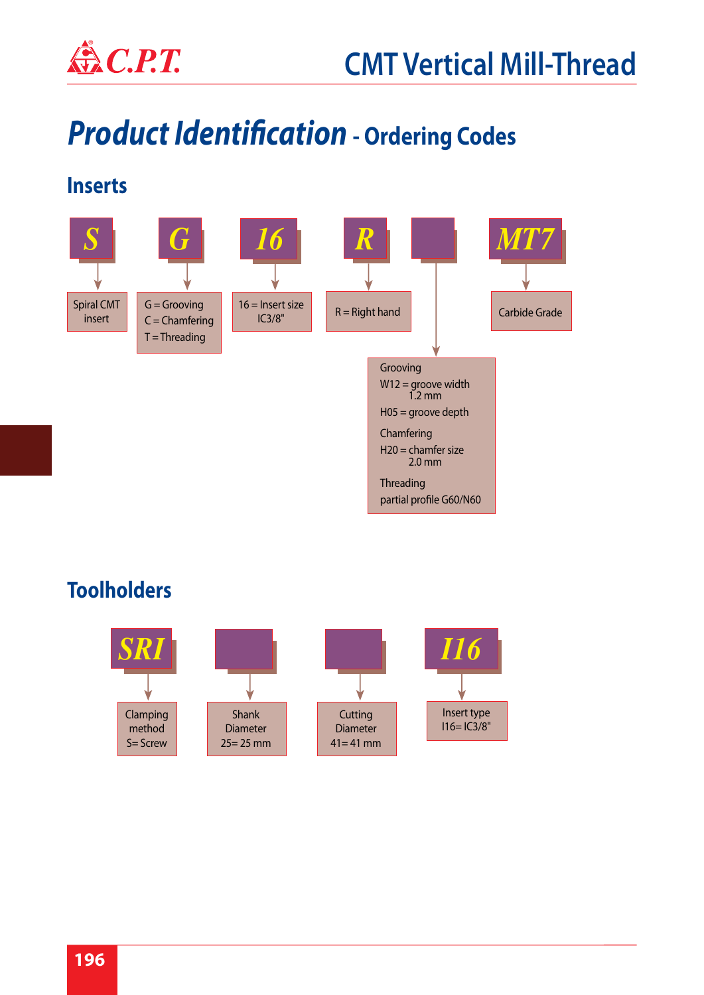

## *Product Identification* **- Ordering Codes**

#### **Inserts**



#### **Toolholders**

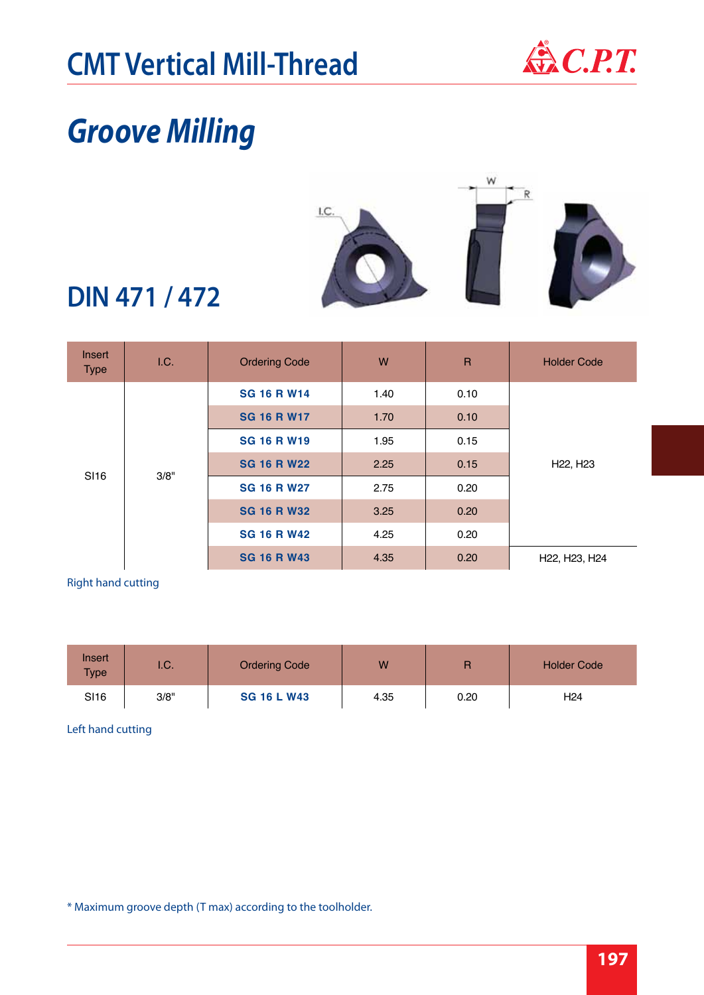

### *Groove Milling*



#### **DIN 471 / 472**

| Insert<br><b>Type</b> | 1.C.               | <b>Ordering Code</b> | W    | $\overline{R}$ | <b>Holder Code</b>                                  |
|-----------------------|--------------------|----------------------|------|----------------|-----------------------------------------------------|
|                       |                    | <b>SG 16 R W14</b>   | 1.40 | 0.10           |                                                     |
|                       |                    | <b>SG 16 R W17</b>   |      | 0.10           |                                                     |
|                       | <b>SG 16 R W19</b> | 1.95                 | 0.15 |                |                                                     |
| SI <sub>16</sub>      | 3/8"               | <b>SG 16 R W22</b>   | 2.25 | 0.15           | H <sub>22</sub> , H <sub>23</sub>                   |
|                       |                    | <b>SG 16 R W27</b>   | 2.75 | 0.20           |                                                     |
|                       |                    | <b>SG 16 R W32</b>   | 3.25 | 0.20           |                                                     |
|                       |                    | <b>SG 16 R W42</b>   | 4.25 | 0.20           |                                                     |
|                       |                    | <b>SG 16 R W43</b>   | 4.35 | 0.20           | H <sub>22</sub> , H <sub>23</sub> , H <sub>24</sub> |

#### Right hand cutting

| Insert<br><b>Type</b> | I.C. | <b>Ordering Code</b> | W    | Е    | <b>Holder Code</b> |  |
|-----------------------|------|----------------------|------|------|--------------------|--|
| <b>SI16</b>           | 3/8" | <b>SG 16 L W43</b>   | 4.35 | 0.20 | H <sub>24</sub>    |  |

#### Left hand cutting

\* Maximum groove depth (T max) according to the toolholder.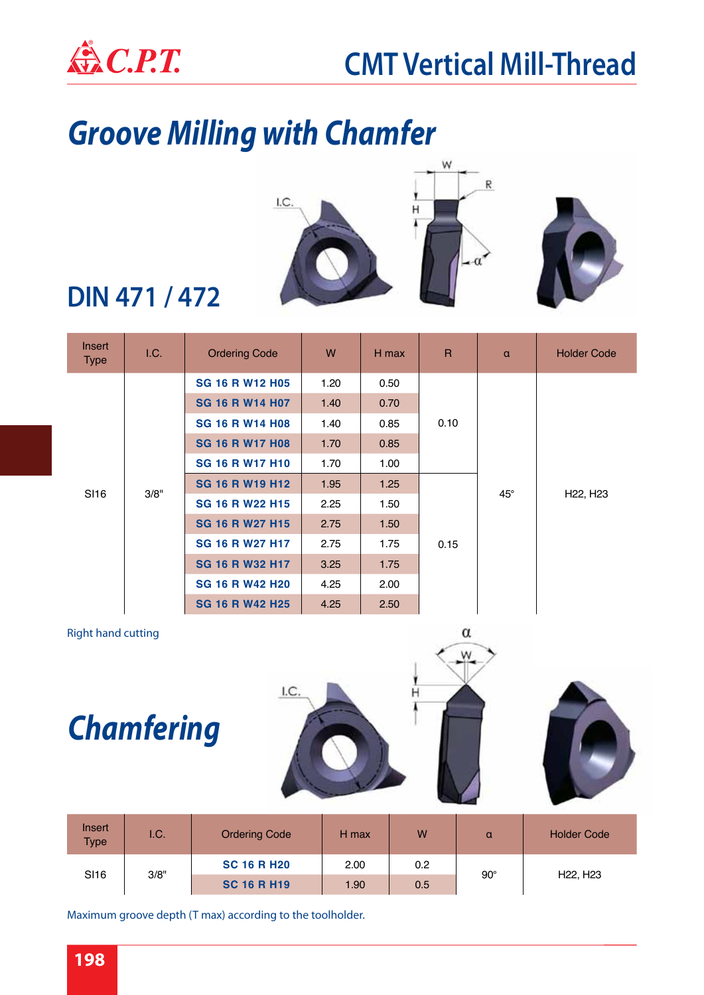

## *Groove Milling with Chamfer*



#### **DIN 471 / 472**

| Insert<br><b>Type</b> | I.C. | <b>Ordering Code</b>   | W    | H max | $\mathsf{R}$ | $\alpha$   | <b>Holder Code</b>                |  |  |
|-----------------------|------|------------------------|------|-------|--------------|------------|-----------------------------------|--|--|
|                       |      | <b>SG 16 R W12 H05</b> | 1.20 | 0.50  |              |            |                                   |  |  |
|                       |      | <b>SG 16 R W14 H07</b> | 1.40 | 0.70  |              |            |                                   |  |  |
|                       |      | <b>SG 16 R W14 H08</b> | 1.40 | 0.85  | 0.10         |            | H <sub>22</sub> , H <sub>23</sub> |  |  |
|                       | 3/8" | <b>SG 16 R W17 H08</b> | 1.70 | 0.85  |              | $45^\circ$ |                                   |  |  |
|                       |      | <b>SG 16 R W17 H10</b> | 1.70 | 1.00  |              |            |                                   |  |  |
| SI <sub>16</sub>      |      | <b>SG 16 R W19 H12</b> | 1.95 | 1.25  |              |            |                                   |  |  |
|                       |      | <b>SG 16 R W22 H15</b> | 2.25 | 1.50  |              |            |                                   |  |  |
|                       |      | <b>SG 16 R W27 H15</b> | 2.75 | 1.50  |              |            |                                   |  |  |
|                       |      | <b>SG 16 R W27 H17</b> | 2.75 | 1.75  | 0.15         |            |                                   |  |  |
|                       |      | <b>SG 16 R W32 H17</b> | 3.25 | 1.75  |              |            |                                   |  |  |
|                       |      | <b>SG 16 R W42 H20</b> | 4.25 | 2.00  |              |            |                                   |  |  |
|                       |      | <b>SG 16 R W42 H25</b> | 4.25 | 2.50  |              |            |                                   |  |  |

#### Right hand cutting

*Chamfering*





| Insert<br><b>Type</b> | 1.C. | <b>Ordering Code</b> | H max | W   | α          | <b>Holder Code</b>                |  |
|-----------------------|------|----------------------|-------|-----|------------|-----------------------------------|--|
| SI <sub>16</sub>      |      | <b>SC 16 R H20</b>   | 2.00  | 0.2 | $90^\circ$ | H <sub>22</sub> , H <sub>23</sub> |  |
|                       | 3/8" | <b>SC 16 R H19</b>   | 1.90  | 0.5 |            |                                   |  |

Maximum groove depth (T max) according to the toolholder.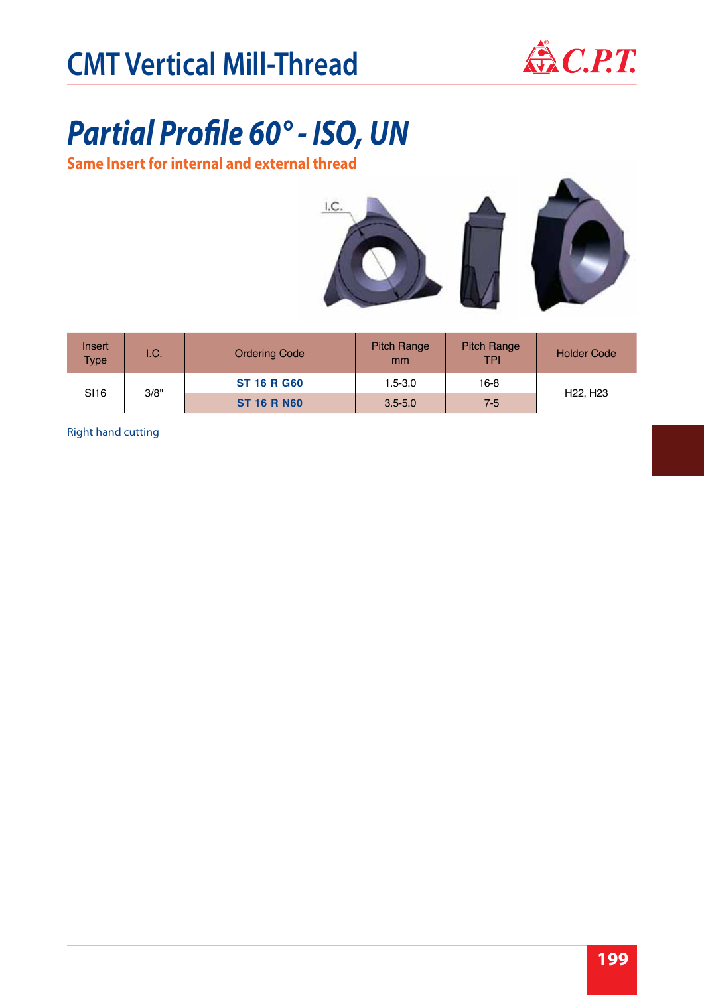

## *Partial Profile 60° - ISO, UN*

**Same Insert for internal and external thread**





| Insert<br><b>Type</b> | I.C. | <b>Ordering Code</b> | <b>Pitch Range</b><br>mm | <b>Pitch Range</b><br>TPI | <b>Holder Code</b>                |
|-----------------------|------|----------------------|--------------------------|---------------------------|-----------------------------------|
| SI <sub>16</sub>      | 3/8" | <b>ST 16 R G60</b>   | $1.5 - 3.0$              | $16-8$                    | H <sub>22</sub> , H <sub>23</sub> |
|                       |      | <b>ST 16 R N60</b>   | $3.5 - 5.0$              | $7 - 5$                   |                                   |

Right hand cutting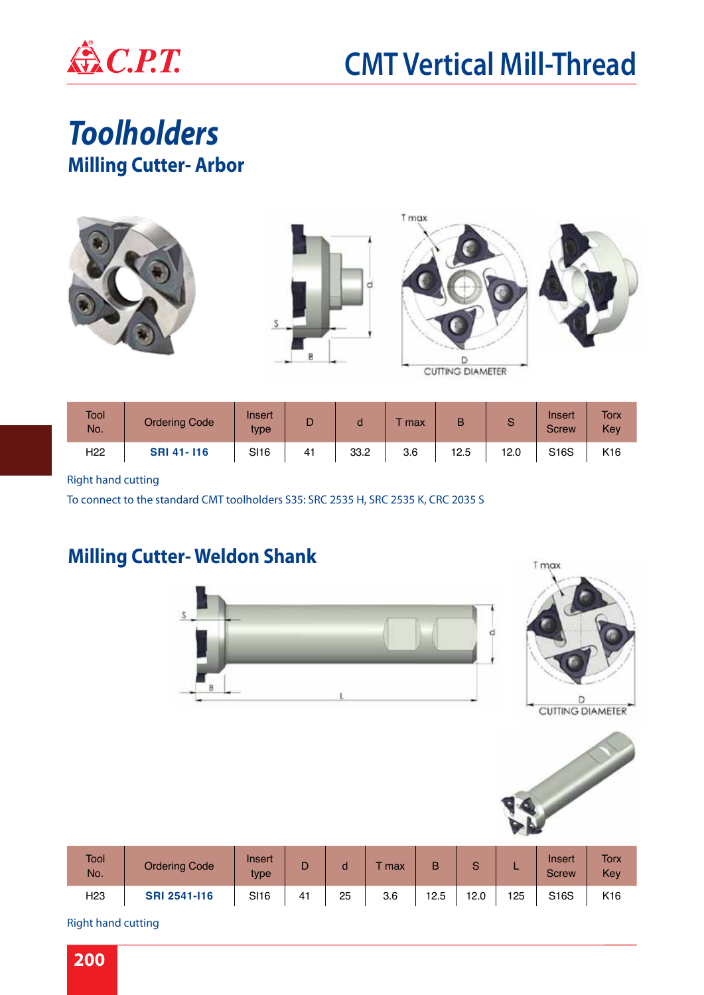

*Toolholders* **Milling Cutter- Arbor**



| <b>Tool</b><br>No. | <b>Ordering Code</b> | Insert<br>type |    |      | max | B    | e    | Insert<br><b>Screw</b> | <b>Torx</b><br>Key |
|--------------------|----------------------|----------------|----|------|-----|------|------|------------------------|--------------------|
| H <sub>22</sub>    | <b>SRI 41-116</b>    | <b>SI16</b>    | 41 | 33.2 | 3.6 | 12.5 | 12.0 | S16S                   | K <sub>16</sub>    |

#### Right hand cutting

To connect to the standard CMT toolholders S35: SRC 2535 H, SRC 2535 K, CRC 2035 S

#### **Milling Cutter- Weldon Shank**







| <b>Tool</b><br>No. | <b>Ordering Code</b> | Insert<br>type |    |    | max | в    | $\sim$ |     | Inseri<br><b>Screw</b> | <b>Torx</b><br>Key |
|--------------------|----------------------|----------------|----|----|-----|------|--------|-----|------------------------|--------------------|
| H <sub>23</sub>    | <b>SRI 2541-116</b>  | <b>SI16</b>    | 41 | 25 | 3.6 | 12.5 | 12.0   | 125 | S16S                   | K16                |

Right hand cutting